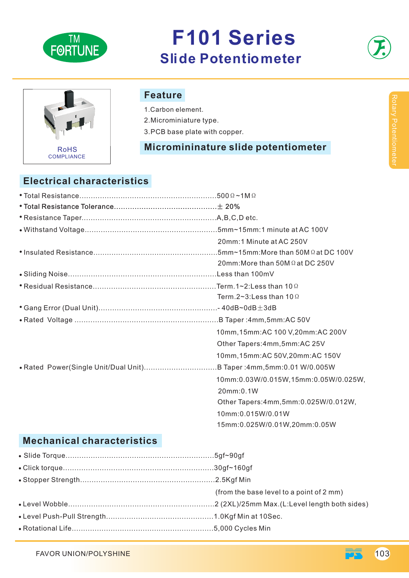

# **F101 Series Slide Potentiometer**



# RoHS COMPLIANCE

#### **Feature**

1.Carbon element.

2.Microminiature type.

3.PCB base plate with copper.

#### **Micromininature slide potentiometer**

## **Electrical characteristics**

|  | 20mm:1 Minute at AC 250V               |
|--|----------------------------------------|
|  |                                        |
|  | 20mm: More than $50M\Omega$ at DC 250V |
|  |                                        |
|  |                                        |
|  | Term.2~3: Less than 10 $\Omega$        |
|  |                                        |
|  |                                        |
|  | 10mm, 15mm: AC 100 V, 20mm: AC 200V    |
|  | Other Tapers: 4mm, 5mm: AC 25V         |
|  | 10mm, 15mm: AC 50V, 20mm: AC 150V      |
|  |                                        |
|  | 10mm:0.03W/0.015W,15mm:0.05W/0.025W,   |
|  | 20mm:0.1W                              |
|  | Other Tapers: 4mm, 5mm: 0.025W/0.012W, |
|  | 10mm:0.015W/0.01W                      |
|  | 15mm:0.025W/0.01W,20mm:0.05W           |

## **Mechanical characteristics**

| (from the base level to a point of 2 mm) |
|------------------------------------------|
|                                          |
|                                          |
|                                          |

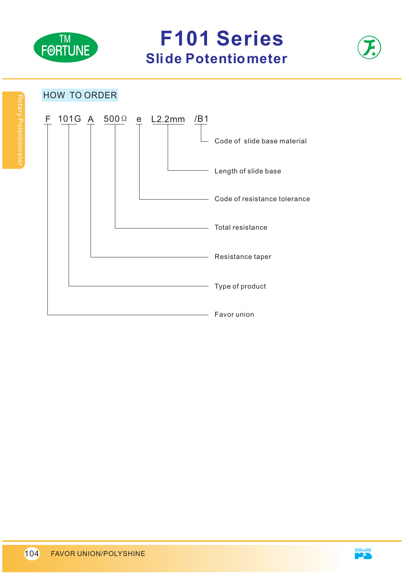

**F101 Series Slide Potentiometer** 



#### HOW TO ORDER